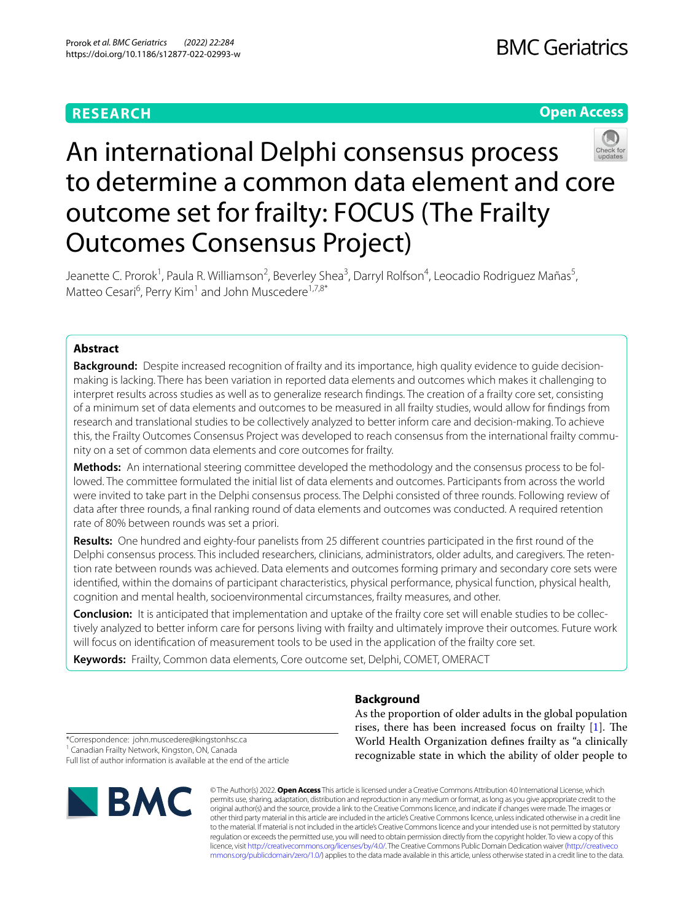# **RESEARCH**

# **Open Access**



# An international Delphi consensus process to determine a common data element and core outcome set for frailty: FOCUS (The Frailty Outcomes Consensus Project)

Jeanette C. Prorok<sup>1</sup>, Paula R. Williamson<sup>2</sup>, Beverley Shea<sup>3</sup>, Darryl Rolfson<sup>4</sup>, Leocadio Rodriguez Mañas<sup>5</sup>, Matteo Cesari<sup>6</sup>, Perry Kim<sup>1</sup> and John Muscedere<sup>1,7,8\*</sup>

## **Abstract**

**Background:** Despite increased recognition of frailty and its importance, high quality evidence to guide decisionmaking is lacking. There has been variation in reported data elements and outcomes which makes it challenging to interpret results across studies as well as to generalize research fndings. The creation of a frailty core set, consisting of a minimum set of data elements and outcomes to be measured in all frailty studies, would allow for fndings from research and translational studies to be collectively analyzed to better inform care and decision-making. To achieve this, the Frailty Outcomes Consensus Project was developed to reach consensus from the international frailty community on a set of common data elements and core outcomes for frailty.

**Methods:** An international steering committee developed the methodology and the consensus process to be followed. The committee formulated the initial list of data elements and outcomes. Participants from across the world were invited to take part in the Delphi consensus process. The Delphi consisted of three rounds. Following review of data after three rounds, a fnal ranking round of data elements and outcomes was conducted. A required retention rate of 80% between rounds was set a priori.

**Results:** One hundred and eighty-four panelists from 25 diferent countries participated in the frst round of the Delphi consensus process. This included researchers, clinicians, administrators, older adults, and caregivers. The retention rate between rounds was achieved. Data elements and outcomes forming primary and secondary core sets were identifed, within the domains of participant characteristics, physical performance, physical function, physical health, cognition and mental health, socioenvironmental circumstances, frailty measures, and other.

**Conclusion:** It is anticipated that implementation and uptake of the frailty core set will enable studies to be collectively analyzed to better inform care for persons living with frailty and ultimately improve their outcomes. Future work will focus on identifcation of measurement tools to be used in the application of the frailty core set.

**Keywords:** Frailty, Common data elements, Core outcome set, Delphi, COMET, OMERACT

# **Background**

As the proportion of older adults in the global population rises, there has been increased focus on frailty  $[1]$  $[1]$ . The World Health Organization defnes frailty as "a clinically recognizable state in which the ability of older people to

\*Correspondence: john.muscedere@kingstonhsc.ca <sup>1</sup> Canadian Frailty Network, Kingston, ON, Canada Full list of author information is available at the end of the article



© The Author(s) 2022. **Open Access** This article is licensed under a Creative Commons Attribution 4.0 International License, which permits use, sharing, adaptation, distribution and reproduction in any medium or format, as long as you give appropriate credit to the original author(s) and the source, provide a link to the Creative Commons licence, and indicate if changes were made. The images or other third party material in this article are included in the article's Creative Commons licence, unless indicated otherwise in a credit line to the material. If material is not included in the article's Creative Commons licence and your intended use is not permitted by statutory regulation or exceeds the permitted use, you will need to obtain permission directly from the copyright holder. To view a copy of this licence, visit [http://creativecommons.org/licenses/by/4.0/.](http://creativecommons.org/licenses/by/4.0/) The Creative Commons Public Domain Dedication waiver ([http://creativeco](http://creativecommons.org/publicdomain/zero/1.0/) [mmons.org/publicdomain/zero/1.0/](http://creativecommons.org/publicdomain/zero/1.0/)) applies to the data made available in this article, unless otherwise stated in a credit line to the data.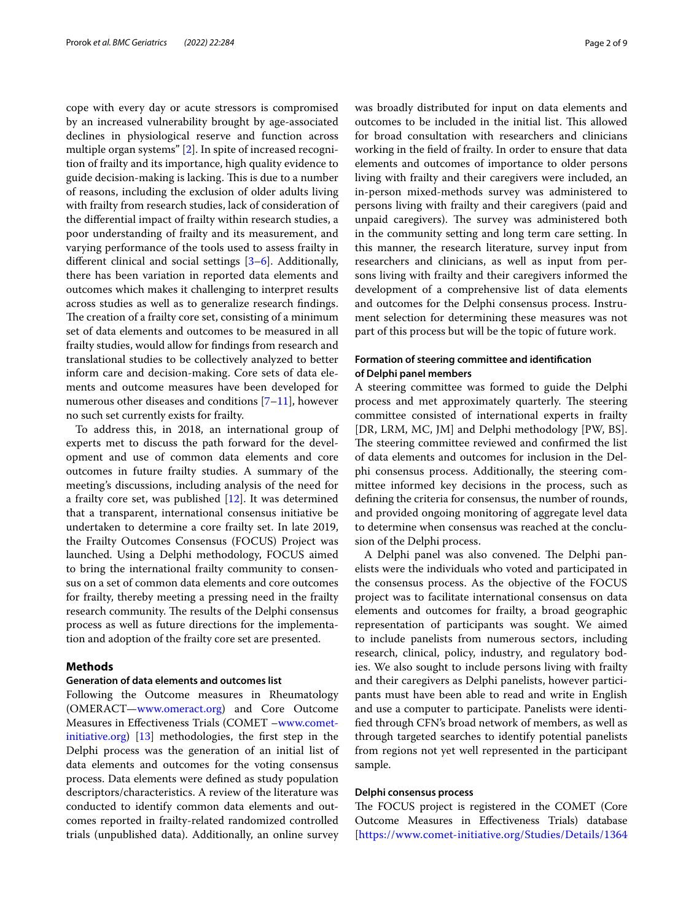cope with every day or acute stressors is compromised by an increased vulnerability brought by age-associated declines in physiological reserve and function across multiple organ systems" [[2\]](#page-8-1). In spite of increased recognition of frailty and its importance, high quality evidence to guide decision-making is lacking. This is due to a number of reasons, including the exclusion of older adults living with frailty from research studies, lack of consideration of the diferential impact of frailty within research studies, a poor understanding of frailty and its measurement, and varying performance of the tools used to assess frailty in diferent clinical and social settings [\[3](#page-8-2)[–6\]](#page-8-3). Additionally, there has been variation in reported data elements and outcomes which makes it challenging to interpret results across studies as well as to generalize research fndings. The creation of a frailty core set, consisting of a minimum set of data elements and outcomes to be measured in all frailty studies, would allow for fndings from research and translational studies to be collectively analyzed to better inform care and decision-making. Core sets of data elements and outcome measures have been developed for numerous other diseases and conditions [\[7](#page-8-4)–[11\]](#page-8-5), however no such set currently exists for frailty.

To address this, in 2018, an international group of experts met to discuss the path forward for the development and use of common data elements and core outcomes in future frailty studies. A summary of the meeting's discussions, including analysis of the need for a frailty core set, was published [[12\]](#page-8-6). It was determined that a transparent, international consensus initiative be undertaken to determine a core frailty set. In late 2019, the Frailty Outcomes Consensus (FOCUS) Project was launched. Using a Delphi methodology, FOCUS aimed to bring the international frailty community to consensus on a set of common data elements and core outcomes for frailty, thereby meeting a pressing need in the frailty research community. The results of the Delphi consensus process as well as future directions for the implementation and adoption of the frailty core set are presented.

## **Methods**

## **Generation of data elements and outcomes list**

Following the Outcome measures in Rheumatology (OMERACT—[www.omeract.org](http://www.omeract.org)) and Core Outcome Measures in Efectiveness Trials (COMET –[www.comet](http://www.comet-initiative.org)[initiative.org](http://www.comet-initiative.org)) [\[13](#page-8-7)] methodologies, the frst step in the Delphi process was the generation of an initial list of data elements and outcomes for the voting consensus process. Data elements were defned as study population descriptors/characteristics. A review of the literature was conducted to identify common data elements and outcomes reported in frailty-related randomized controlled trials (unpublished data). Additionally, an online survey was broadly distributed for input on data elements and outcomes to be included in the initial list. This allowed for broad consultation with researchers and clinicians working in the feld of frailty. In order to ensure that data elements and outcomes of importance to older persons living with frailty and their caregivers were included, an in-person mixed-methods survey was administered to persons living with frailty and their caregivers (paid and unpaid caregivers). The survey was administered both in the community setting and long term care setting. In this manner, the research literature, survey input from researchers and clinicians, as well as input from persons living with frailty and their caregivers informed the development of a comprehensive list of data elements and outcomes for the Delphi consensus process. Instrument selection for determining these measures was not part of this process but will be the topic of future work.

## **Formation of steering committee and identifcation of Delphi panel members**

A steering committee was formed to guide the Delphi process and met approximately quarterly. The steering committee consisted of international experts in frailty [DR, LRM, MC, JM] and Delphi methodology [PW, BS]. The steering committee reviewed and confirmed the list of data elements and outcomes for inclusion in the Delphi consensus process. Additionally, the steering committee informed key decisions in the process, such as defning the criteria for consensus, the number of rounds, and provided ongoing monitoring of aggregate level data to determine when consensus was reached at the conclusion of the Delphi process.

A Delphi panel was also convened. The Delphi panelists were the individuals who voted and participated in the consensus process. As the objective of the FOCUS project was to facilitate international consensus on data elements and outcomes for frailty, a broad geographic representation of participants was sought. We aimed to include panelists from numerous sectors, including research, clinical, policy, industry, and regulatory bodies. We also sought to include persons living with frailty and their caregivers as Delphi panelists, however participants must have been able to read and write in English and use a computer to participate. Panelists were identifed through CFN's broad network of members, as well as through targeted searches to identify potential panelists from regions not yet well represented in the participant sample.

## **Delphi consensus process**

The FOCUS project is registered in the COMET (Core Outcome Measures in Efectiveness Trials) database [<https://www.comet-initiative.org/Studies/Details/1364>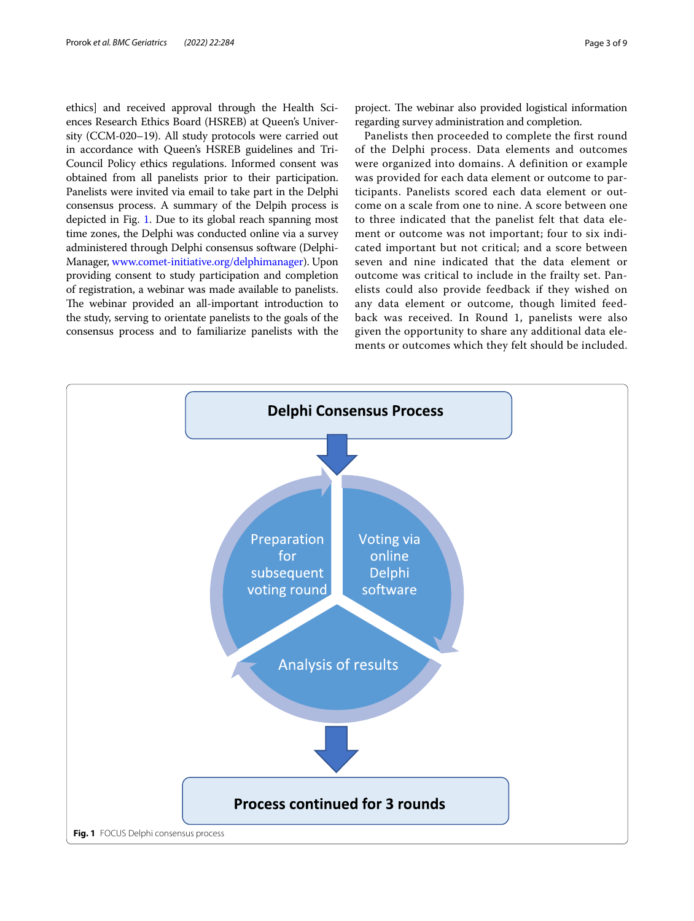ethics] and received approval through the Health Sciences Research Ethics Board (HSREB) at Queen's University (CCM-020–19). All study protocols were carried out in accordance with Queen's HSREB guidelines and Tri-Council Policy ethics regulations. Informed consent was obtained from all panelists prior to their participation. Panelists were invited via email to take part in the Delphi consensus process. A summary of the Delpih process is depicted in Fig. [1](#page-2-0). Due to its global reach spanning most time zones, the Delphi was conducted online via a survey administered through Delphi consensus software (Delphi-Manager, [www.comet-initiative.org/delphimanager](http://www.comet-initiative.org/delphimanager)). Upon providing consent to study participation and completion of registration, a webinar was made available to panelists. The webinar provided an all-important introduction to the study, serving to orientate panelists to the goals of the consensus process and to familiarize panelists with the

project. The webinar also provided logistical information regarding survey administration and completion.

Panelists then proceeded to complete the first round of the Delphi process. Data elements and outcomes were organized into domains. A definition or example was provided for each data element or outcome to participants. Panelists scored each data element or outcome on a scale from one to nine. A score between one to three indicated that the panelist felt that data element or outcome was not important; four to six indicated important but not critical; and a score between seven and nine indicated that the data element or outcome was critical to include in the frailty set. Panelists could also provide feedback if they wished on any data element or outcome, though limited feedback was received. In Round 1, panelists were also given the opportunity to share any additional data elements or outcomes which they felt should be included.

<span id="page-2-0"></span>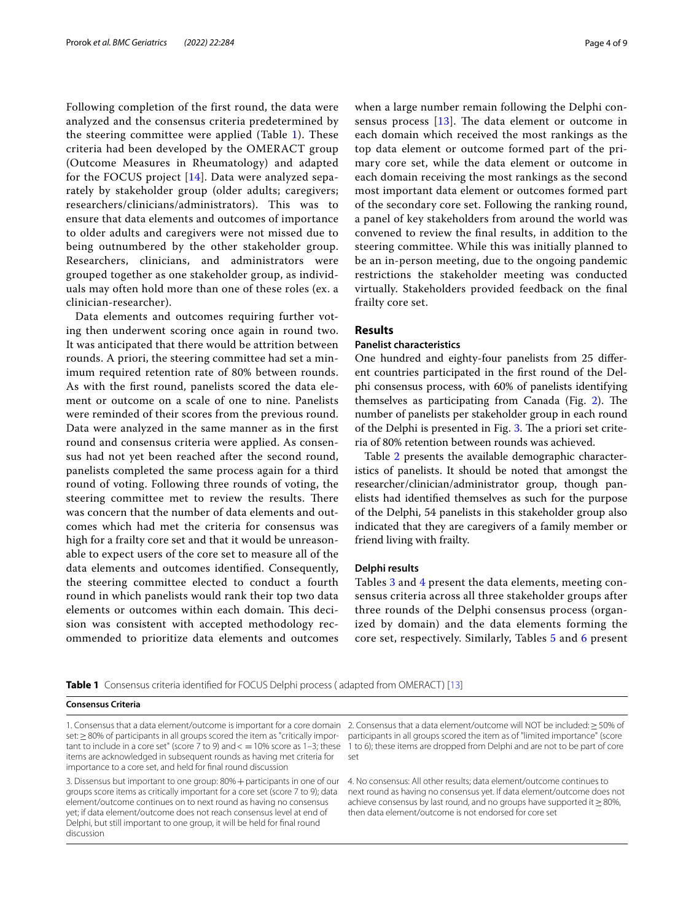Following completion of the first round, the data were analyzed and the consensus criteria predetermined by the steering committee were applied (Table [1\)](#page-3-0). These criteria had been developed by the OMERACT group (Outcome Measures in Rheumatology) and adapted for the FOCUS project [[14](#page-8-8)]. Data were analyzed separately by stakeholder group (older adults; caregivers; researchers/clinicians/administrators). This was to ensure that data elements and outcomes of importance to older adults and caregivers were not missed due to being outnumbered by the other stakeholder group. Researchers, clinicians, and administrators were grouped together as one stakeholder group, as individuals may often hold more than one of these roles (ex. a clinician-researcher).

Data elements and outcomes requiring further voting then underwent scoring once again in round two. It was anticipated that there would be attrition between rounds. A priori, the steering committee had set a minimum required retention rate of 80% between rounds. As with the frst round, panelists scored the data element or outcome on a scale of one to nine. Panelists were reminded of their scores from the previous round. Data were analyzed in the same manner as in the frst round and consensus criteria were applied. As consensus had not yet been reached after the second round, panelists completed the same process again for a third round of voting. Following three rounds of voting, the steering committee met to review the results. There was concern that the number of data elements and outcomes which had met the criteria for consensus was high for a frailty core set and that it would be unreasonable to expect users of the core set to measure all of the data elements and outcomes identifed. Consequently, the steering committee elected to conduct a fourth round in which panelists would rank their top two data elements or outcomes within each domain. This decision was consistent with accepted methodology recommended to prioritize data elements and outcomes when a large number remain following the Delphi consensus process  $[13]$  $[13]$ . The data element or outcome in each domain which received the most rankings as the top data element or outcome formed part of the primary core set, while the data element or outcome in each domain receiving the most rankings as the second most important data element or outcomes formed part of the secondary core set. Following the ranking round, a panel of key stakeholders from around the world was convened to review the fnal results, in addition to the steering committee. While this was initially planned to be an in-person meeting, due to the ongoing pandemic restrictions the stakeholder meeting was conducted virtually. Stakeholders provided feedback on the fnal frailty core set.

## **Results**

## **Panelist characteristics**

One hundred and eighty-four panelists from 25 diferent countries participated in the frst round of the Delphi consensus process, with 60% of panelists identifying themselves as participating from Canada (Fig.  $2$ ). The number of panelists per stakeholder group in each round of the Delphi is presented in Fig. [3](#page-4-1). The a priori set criteria of 80% retention between rounds was achieved.

Table [2](#page-5-0) presents the available demographic characteristics of panelists. It should be noted that amongst the researcher/clinician/administrator group, though panelists had identifed themselves as such for the purpose of the Delphi, 54 panelists in this stakeholder group also indicated that they are caregivers of a family member or friend living with frailty.

## **Delphi results**

Tables [3](#page-5-1) and [4](#page-6-0) present the data elements, meeting consensus criteria across all three stakeholder groups after three rounds of the Delphi consensus process (organized by domain) and the data elements forming the core set, respectively. Similarly, Tables [5](#page-6-1) and [6](#page-6-2) present

<span id="page-3-0"></span>**Table 1** Consensus criteria identifed for FOCUS Delphi process ( adapted from OMERACT) [\[13](#page-8-7)]

#### **Consensus Criteria**

set: ≥80% of participants in all groups scored the item as "critically important to include in a core set" (score 7 to 9) and  $\lt = 10\%$  score as 1-3; these items are acknowledged in subsequent rounds as having met criteria for importance to a core set, and held for fnal round discussion

3. Dissensus but important to one group: 80%+participants in one of our groups score items as critically important for a core set (score 7 to 9); data element/outcome continues on to next round as having no consensus yet; if data element/outcome does not reach consensus level at end of Delphi, but still important to one group, it will be held for fnal round discussion

1. Consensus that a data element/outcome is important for a core domain 2. Consensus that a data element/outcome will NOT be included:≥50% of participants in all groups scored the item as of "limited importance" (score 1 to 6); these items are dropped from Delphi and are not to be part of core set

> 4. No consensus: All other results; data element/outcome continues to next round as having no consensus yet. If data element/outcome does not achieve consensus by last round, and no groups have supported it  $\geq$  80%, then data element/outcome is not endorsed for core set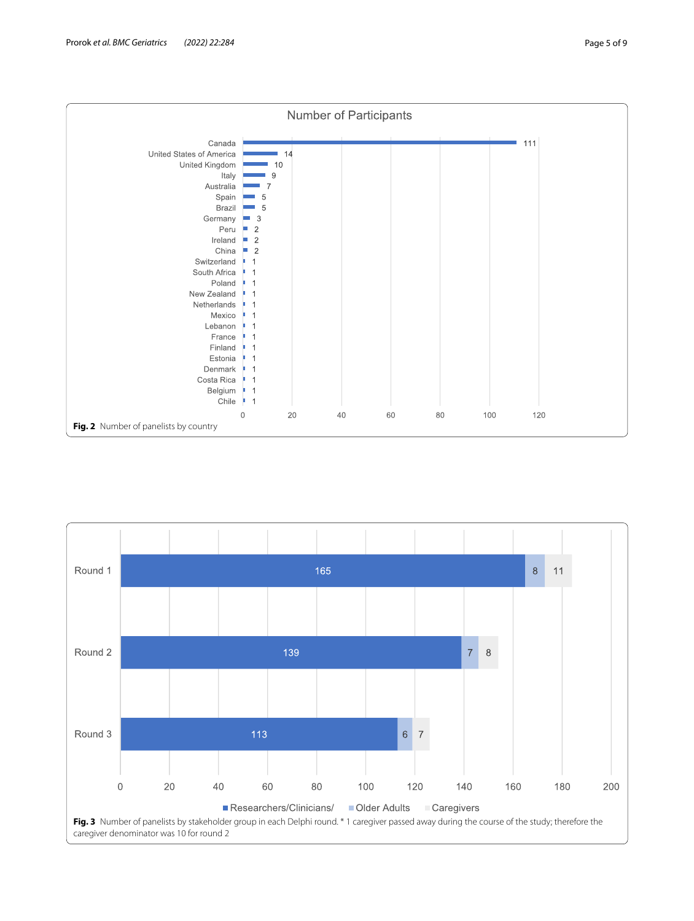

<span id="page-4-1"></span><span id="page-4-0"></span>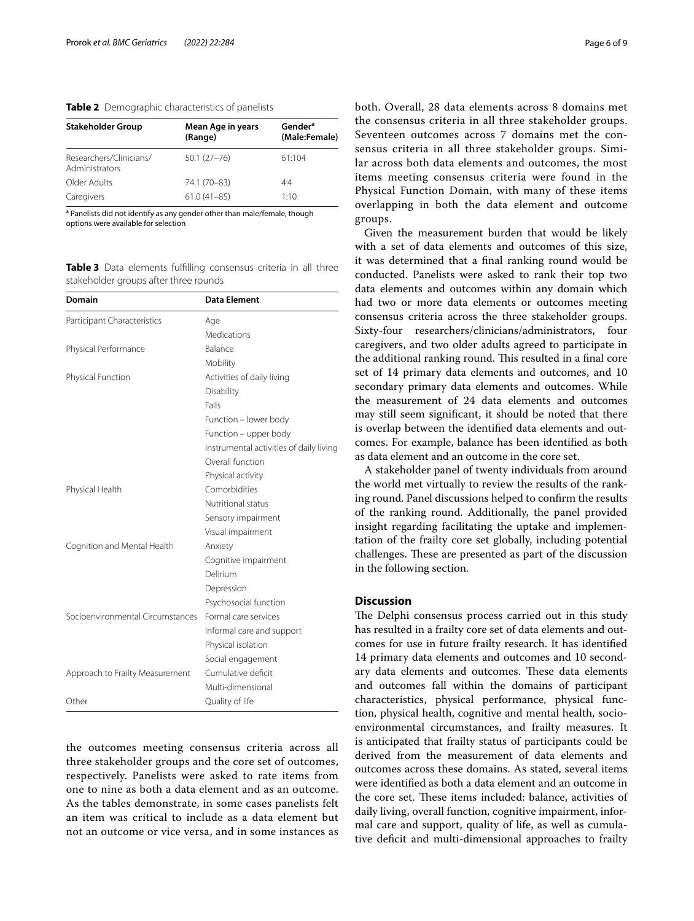<span id="page-5-0"></span>**Table 2** Demographic characteristics of panelists

| <b>Stakeholder Group</b>                  | Mean Age in years<br>(Range) | Gender <sup>a</sup><br>(Male:Female) |
|-------------------------------------------|------------------------------|--------------------------------------|
| Researchers/Clinicians/<br>Administrators | $50.1(27 - 76)$              | 61:104                               |
| Older Adults                              | 74.1 (70-83)                 | 4.4                                  |
| Caregivers                                | $61.0(41-85)$                | 1:10                                 |

<sup>a</sup> Panelists did not identify as any gender other than male/female, though options were available for selection

<span id="page-5-1"></span>**Table 3** Data elements fulflling consensus criteria in all three stakeholder groups after three rounds

| <b>Domain</b>                    | <b>Data Element</b>                     |
|----------------------------------|-----------------------------------------|
| Participant Characteristics      | Age                                     |
|                                  | Medications                             |
| Physical Performance             | Balance                                 |
|                                  | Mobility                                |
| Physical Function                | Activities of daily living              |
|                                  | Disability                              |
|                                  | Falls                                   |
|                                  | Function - lower body                   |
|                                  | Function - upper body                   |
|                                  | Instrumental activities of daily living |
|                                  | Overall function                        |
|                                  | Physical activity                       |
| Physical Health                  | Comorbidities                           |
|                                  | Nutritional status                      |
|                                  | Sensory impairment                      |
|                                  | Visual impairment                       |
| Cognition and Mental Health      | Anxiety                                 |
|                                  | Cognitive impairment                    |
|                                  | Delirium                                |
|                                  | Depression                              |
|                                  | Psychosocial function                   |
| Socioenvironmental Circumstances | Formal care services                    |
|                                  | Informal care and support               |
|                                  | Physical isolation                      |
|                                  | Social engagement                       |
| Approach to Frailty Measurement  | Cumulative deficit                      |
|                                  | Multi-dimensional                       |
| Other                            | Quality of life                         |

the outcomes meeting consensus criteria across all three stakeholder groups and the core set of outcomes, respectively. Panelists were asked to rate items from one to nine as both a data element and as an outcome. As the tables demonstrate, in some cases panelists felt an item was critical to include as a data element but not an outcome or vice versa, and in some instances as both. Overall, 28 data elements across 8 domains met the consensus criteria in all three stakeholder groups. Seventeen outcomes across 7 domains met the consensus criteria in all three stakeholder groups. Similar across both data elements and outcomes, the most items meeting consensus criteria were found in the Physical Function Domain, with many of these items overlapping in both the data element and outcome groups.

Given the measurement burden that would be likely with a set of data elements and outcomes of this size, it was determined that a fnal ranking round would be conducted. Panelists were asked to rank their top two data elements and outcomes within any domain which had two or more data elements or outcomes meeting consensus criteria across the three stakeholder groups. Sixty-four researchers/clinicians/administrators, four caregivers, and two older adults agreed to participate in the additional ranking round. This resulted in a final core set of 14 primary data elements and outcomes, and 10 secondary primary data elements and outcomes. While the measurement of 24 data elements and outcomes may still seem signifcant, it should be noted that there is overlap between the identifed data elements and outcomes. For example, balance has been identifed as both as data element and an outcome in the core set.

A stakeholder panel of twenty individuals from around the world met virtually to review the results of the ranking round. Panel discussions helped to confrm the results of the ranking round. Additionally, the panel provided insight regarding facilitating the uptake and implementation of the frailty core set globally, including potential challenges. These are presented as part of the discussion in the following section.

## **Discussion**

The Delphi consensus process carried out in this study has resulted in a frailty core set of data elements and outcomes for use in future frailty research. It has identifed 14 primary data elements and outcomes and 10 secondary data elements and outcomes. These data elements and outcomes fall within the domains of participant characteristics, physical performance, physical function, physical health, cognitive and mental health, socioenvironmental circumstances, and frailty measures. It is anticipated that frailty status of participants could be derived from the measurement of data elements and outcomes across these domains. As stated, several items were identifed as both a data element and an outcome in the core set. These items included: balance, activities of daily living, overall function, cognitive impairment, informal care and support, quality of life, as well as cumulative deficit and multi-dimensional approaches to frailty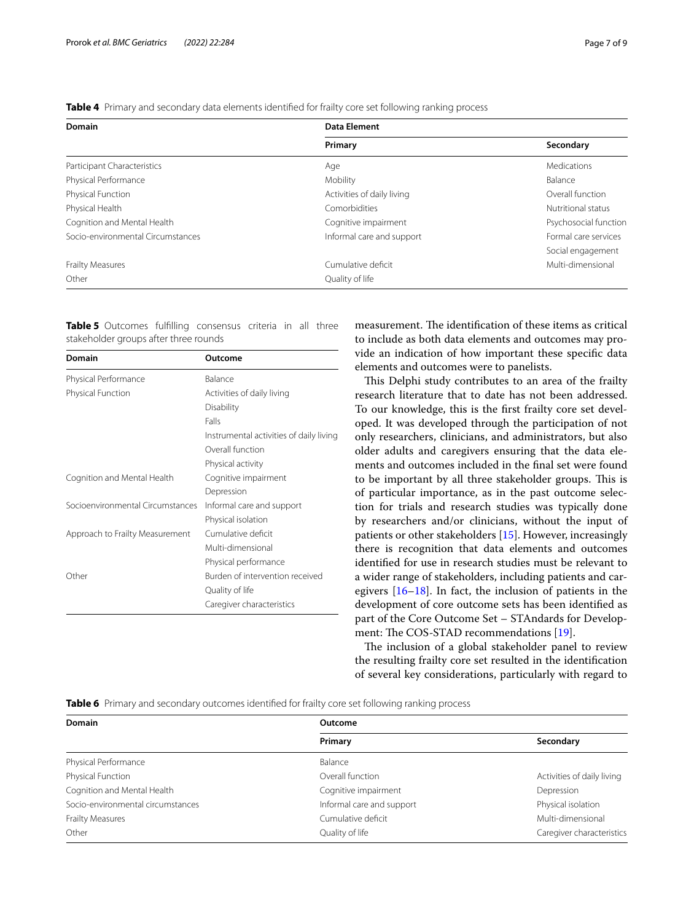| Domain                            | <b>Data Element</b>        |                       |  |
|-----------------------------------|----------------------------|-----------------------|--|
|                                   | Primary                    | Secondary             |  |
| Participant Characteristics       | Age                        | Medications           |  |
| Physical Performance              | Mobility                   | Balance               |  |
| Physical Function                 | Activities of daily living | Overall function      |  |
| Physical Health                   | Comorbidities              | Nutritional status    |  |
| Cognition and Mental Health       | Cognitive impairment       | Psychosocial function |  |
| Socio-environmental Circumstances | Informal care and support  | Formal care services  |  |
|                                   |                            | Social engagement     |  |
| Frailty Measures                  | Cumulative deficit         | Multi-dimensional     |  |
| Other                             | Quality of life            |                       |  |

<span id="page-6-0"></span>**Table 4** Primary and secondary data elements identifed for frailty core set following ranking process

<span id="page-6-1"></span>**Table 5** Outcomes fulflling consensus criteria in all three stakeholder groups after three rounds

| <b>Domain</b>                    | Outcome                                 |
|----------------------------------|-----------------------------------------|
| Physical Performance             | Balance                                 |
| Physical Function                | Activities of daily living              |
|                                  | Disability                              |
|                                  | Falls                                   |
|                                  | Instrumental activities of daily living |
|                                  | Overall function                        |
|                                  | Physical activity                       |
| Cognition and Mental Health      | Cognitive impairment                    |
|                                  | Depression                              |
| Socioenvironmental Circumstances | Informal care and support               |
|                                  | Physical isolation                      |
| Approach to Frailty Measurement  | Cumulative deficit                      |
|                                  | Multi-dimensional                       |
|                                  | Physical performance                    |
| Other                            | Burden of intervention received         |
|                                  | Quality of life                         |
|                                  | Caregiver characteristics               |

measurement. The identification of these items as critical to include as both data elements and outcomes may provide an indication of how important these specifc data elements and outcomes were to panelists.

This Delphi study contributes to an area of the frailty research literature that to date has not been addressed. To our knowledge, this is the frst frailty core set developed. It was developed through the participation of not only researchers, clinicians, and administrators, but also older adults and caregivers ensuring that the data elements and outcomes included in the fnal set were found to be important by all three stakeholder groups. This is of particular importance, as in the past outcome selection for trials and research studies was typically done by researchers and/or clinicians, without the input of patients or other stakeholders [\[15](#page-8-9)]. However, increasingly there is recognition that data elements and outcomes identifed for use in research studies must be relevant to a wider range of stakeholders, including patients and caregivers [\[16–](#page-8-10)[18\]](#page-8-11). In fact, the inclusion of patients in the development of core outcome sets has been identifed as part of the Core Outcome Set – STAndards for Develop-ment: The COS-STAD recommendations [[19\]](#page-8-12).

The inclusion of a global stakeholder panel to review the resulting frailty core set resulted in the identifcation of several key considerations, particularly with regard to

<span id="page-6-2"></span>**Table 6** Primary and secondary outcomes identified for frailty core set following ranking process

| <b>Domain</b>                     | Outcome                   |                            |  |
|-----------------------------------|---------------------------|----------------------------|--|
|                                   | Primary                   | Secondary                  |  |
| Physical Performance              | Balance                   |                            |  |
| Physical Function                 | Overall function          | Activities of daily living |  |
| Cognition and Mental Health       | Cognitive impairment      | Depression                 |  |
| Socio-environmental circumstances | Informal care and support | Physical isolation         |  |
| Frailty Measures                  | Cumulative deficit        | Multi-dimensional          |  |
| Other                             | Quality of life           | Caregiver characteristics  |  |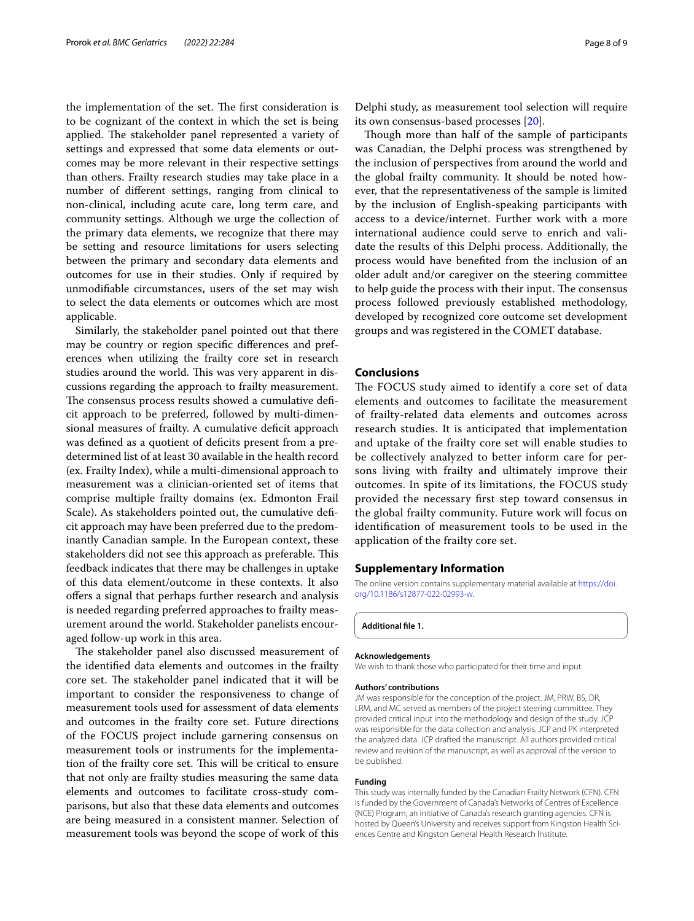the implementation of the set. The first consideration is to be cognizant of the context in which the set is being applied. The stakeholder panel represented a variety of settings and expressed that some data elements or outcomes may be more relevant in their respective settings than others. Frailty research studies may take place in a number of diferent settings, ranging from clinical to non-clinical, including acute care, long term care, and community settings. Although we urge the collection of the primary data elements, we recognize that there may be setting and resource limitations for users selecting between the primary and secondary data elements and outcomes for use in their studies. Only if required by unmodifable circumstances, users of the set may wish to select the data elements or outcomes which are most applicable.

Similarly, the stakeholder panel pointed out that there may be country or region specifc diferences and preferences when utilizing the frailty core set in research studies around the world. This was very apparent in discussions regarding the approach to frailty measurement. The consensus process results showed a cumulative deficit approach to be preferred, followed by multi-dimensional measures of frailty. A cumulative deficit approach was defined as a quotient of deficits present from a predetermined list of at least 30 available in the health record (ex. Frailty Index), while a multi-dimensional approach to measurement was a clinician-oriented set of items that comprise multiple frailty domains (ex. Edmonton Frail Scale). As stakeholders pointed out, the cumulative defcit approach may have been preferred due to the predominantly Canadian sample. In the European context, these stakeholders did not see this approach as preferable. This feedback indicates that there may be challenges in uptake of this data element/outcome in these contexts. It also offers a signal that perhaps further research and analysis is needed regarding preferred approaches to frailty measurement around the world. Stakeholder panelists encouraged follow-up work in this area.

The stakeholder panel also discussed measurement of the identifed data elements and outcomes in the frailty core set. The stakeholder panel indicated that it will be important to consider the responsiveness to change of measurement tools used for assessment of data elements and outcomes in the frailty core set. Future directions of the FOCUS project include garnering consensus on measurement tools or instruments for the implementation of the frailty core set. This will be critical to ensure that not only are frailty studies measuring the same data elements and outcomes to facilitate cross-study comparisons, but also that these data elements and outcomes are being measured in a consistent manner. Selection of measurement tools was beyond the scope of work of this

Delphi study, as measurement tool selection will require its own consensus-based processes [[20](#page-8-13)].

Though more than half of the sample of participants was Canadian, the Delphi process was strengthened by the inclusion of perspectives from around the world and the global frailty community. It should be noted however, that the representativeness of the sample is limited by the inclusion of English-speaking participants with access to a device/internet. Further work with a more international audience could serve to enrich and validate the results of this Delphi process. Additionally, the process would have benefted from the inclusion of an older adult and/or caregiver on the steering committee to help guide the process with their input. The consensus process followed previously established methodology, developed by recognized core outcome set development groups and was registered in the COMET database.

## **Conclusions**

The FOCUS study aimed to identify a core set of data elements and outcomes to facilitate the measurement of frailty-related data elements and outcomes across research studies. It is anticipated that implementation and uptake of the frailty core set will enable studies to be collectively analyzed to better inform care for persons living with frailty and ultimately improve their outcomes. In spite of its limitations, the FOCUS study provided the necessary frst step toward consensus in the global frailty community. Future work will focus on identifcation of measurement tools to be used in the application of the frailty core set.

## **Supplementary Information**

The online version contains supplementary material available at [https://doi.](https://doi.org/10.1186/s12877-022-02993-w) [org/10.1186/s12877-022-02993-w.](https://doi.org/10.1186/s12877-022-02993-w)

**Additional fle 1.**

#### **Acknowledgements**

We wish to thank those who participated for their time and input.

#### **Authors' contributions**

JM was responsible for the conception of the project. JM, PRW, BS, DR, LRM, and MC served as members of the project steering committee. They provided critical input into the methodology and design of the study. JCP was responsible for the data collection and analysis. JCP and PK interpreted the analyzed data. JCP drafted the manuscript. All authors provided critical review and revision of the manuscript, as well as approval of the version to be published.

#### **Funding**

This study was internally funded by the Canadian Frailty Network (CFN). CFN is funded by the Government of Canada's Networks of Centres of Excellence (NCE) Program, an initiative of Canada's research granting agencies. CFN is hosted by Queen's University and receives support from Kingston Health Sciences Centre and Kingston General Health Research Institute.